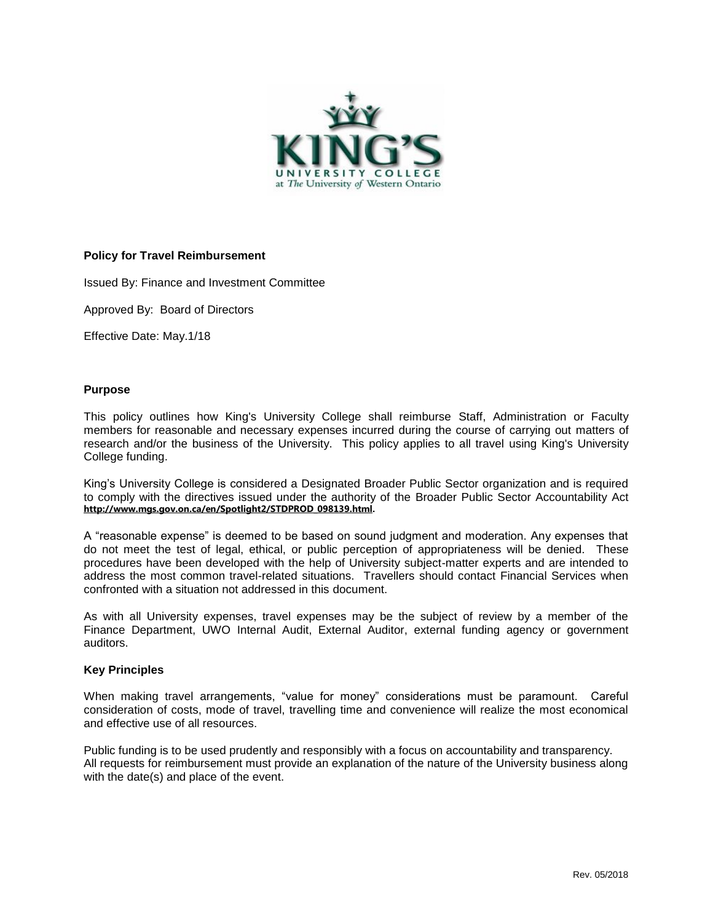

### **Policy for Travel Reimbursement**

Issued By: Finance and Investment Committee

Approved By: Board of Directors

Effective Date: May.1/18

#### **Purpose**

This policy outlines how King's University College shall reimburse Staff, Administration or Faculty members for reasonable and necessary expenses incurred during the course of carrying out matters of research and/or the business of the University. This policy applies to all travel using King's University College funding.

King's University College is considered a Designated Broader Public Sector organization and is required to comply with the directives issued under the authority of the Broader Public Sector Accountability Act **[http://www.mgs.gov.on.ca/en/Spotlight2/STDPROD\\_098139.html.](http://www.mgs.gov.on.ca/en/Spotlight2/STDPROD_098139.html)**

A "reasonable expense" is deemed to be based on sound judgment and moderation. Any expenses that do not meet the test of legal, ethical, or public perception of appropriateness will be denied. These procedures have been developed with the help of University subject-matter experts and are intended to address the most common travel-related situations. Travellers should contact Financial Services when confronted with a situation not addressed in this document.

As with all University expenses, travel expenses may be the subject of review by a member of the Finance Department, UWO Internal Audit, External Auditor, external funding agency or government auditors.

### **Key Principles**

When making travel arrangements, "value for money" considerations must be paramount. Careful consideration of costs, mode of travel, travelling time and convenience will realize the most economical and effective use of all resources.

Public funding is to be used prudently and responsibly with a focus on accountability and transparency. All requests for reimbursement must provide an explanation of the nature of the University business along with the date(s) and place of the event.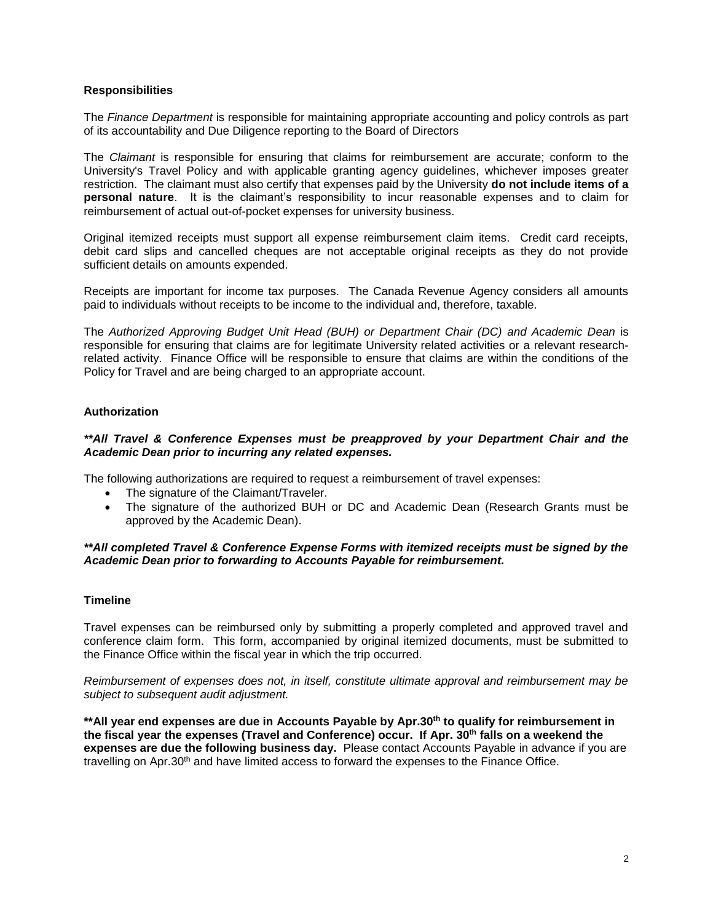# **Responsibilities**

The *Finance Department* is responsible for maintaining appropriate accounting and policy controls as part of its accountability and Due Diligence reporting to the Board of Directors

The *Claimant* is responsible for ensuring that claims for reimbursement are accurate; conform to the University's Travel Policy and with applicable granting agency guidelines, whichever imposes greater restriction. The claimant must also certify that expenses paid by the University **do not include items of a personal nature**. It is the claimant's responsibility to incur reasonable expenses and to claim for reimbursement of actual out-of-pocket expenses for university business.

Original itemized receipts must support all expense reimbursement claim items. Credit card receipts, debit card slips and cancelled cheques are not acceptable original receipts as they do not provide sufficient details on amounts expended.

Receipts are important for income tax purposes. The Canada Revenue Agency considers all amounts paid to individuals without receipts to be income to the individual and, therefore, taxable.

The *Authorized Approving Budget Unit Head (BUH) or Department Chair (DC) and Academic Dean* is responsible for ensuring that claims are for legitimate University related activities or a relevant researchrelated activity. Finance Office will be responsible to ensure that claims are within the conditions of the Policy for Travel and are being charged to an appropriate account.

# **Authorization**

### *\*\*All Travel & Conference Expenses must be preapproved by your Department Chair and the Academic Dean prior to incurring any related expenses.*

The following authorizations are required to request a reimbursement of travel expenses:

- The signature of the Claimant/Traveler.
- The signature of the authorized BUH or DC and Academic Dean (Research Grants must be approved by the Academic Dean).

### *\*\*All completed Travel & Conference Expense Forms with itemized receipts must be signed by the Academic Dean prior to forwarding to Accounts Payable for reimbursement.*

### **Timeline**

Travel expenses can be reimbursed only by submitting a properly completed and approved travel and conference claim form. This form, accompanied by original itemized documents, must be submitted to the Finance Office within the fiscal year in which the trip occurred.

*Reimbursement of expenses does not, in itself, constitute ultimate approval and reimbursement may be subject to subsequent audit adjustment.*

**\*\*All year end expenses are due in Accounts Payable by Apr.30th to qualify for reimbursement in the fiscal year the expenses (Travel and Conference) occur. If Apr. 30th falls on a weekend the expenses are due the following business day.** Please contact Accounts Payable in advance if you are travelling on Apr.30<sup>th</sup> and have limited access to forward the expenses to the Finance Office.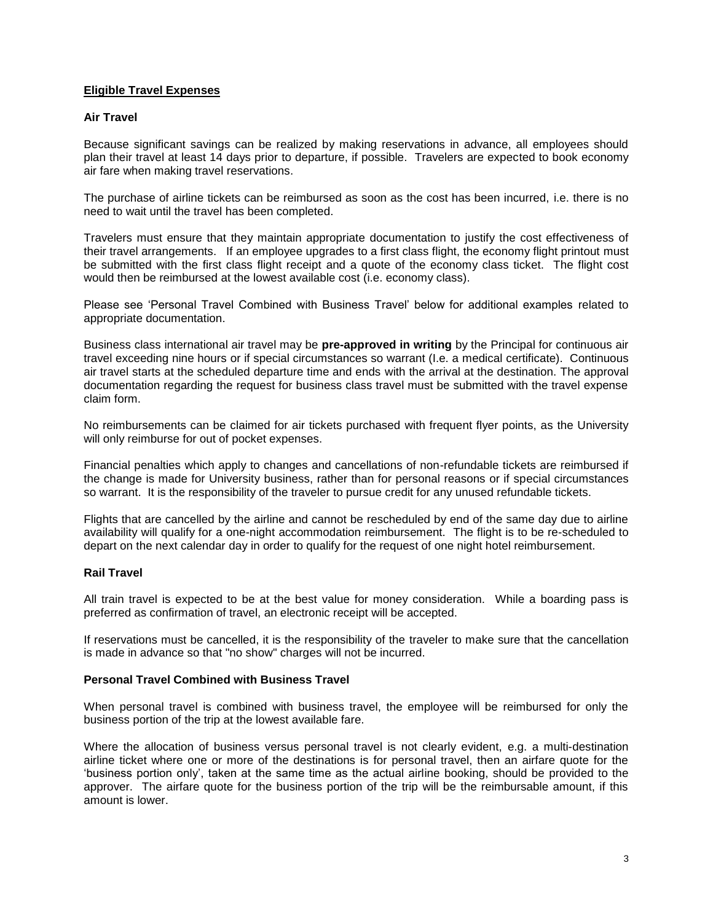# **Eligible Travel Expenses**

# **Air Travel**

Because significant savings can be realized by making reservations in advance, all employees should plan their travel at least 14 days prior to departure, if possible. Travelers are expected to book economy air fare when making travel reservations.

The purchase of airline tickets can be reimbursed as soon as the cost has been incurred, i.e. there is no need to wait until the travel has been completed.

Travelers must ensure that they maintain appropriate documentation to justify the cost effectiveness of their travel arrangements. If an employee upgrades to a first class flight, the economy flight printout must be submitted with the first class flight receipt and a quote of the economy class ticket. The flight cost would then be reimbursed at the lowest available cost (i.e. economy class).

Please see 'Personal Travel Combined with Business Travel' below for additional examples related to appropriate documentation.

Business class international air travel may be **pre-approved in writing** by the Principal for continuous air travel exceeding nine hours or if special circumstances so warrant (I.e. a medical certificate). Continuous air travel starts at the scheduled departure time and ends with the arrival at the destination. The approval documentation regarding the request for business class travel must be submitted with the travel expense claim form.

No reimbursements can be claimed for air tickets purchased with frequent flyer points, as the University will only reimburse for out of pocket expenses.

Financial penalties which apply to changes and cancellations of non-refundable tickets are reimbursed if the change is made for University business, rather than for personal reasons or if special circumstances so warrant. It is the responsibility of the traveler to pursue credit for any unused refundable tickets.

Flights that are cancelled by the airline and cannot be rescheduled by end of the same day due to airline availability will qualify for a one-night accommodation reimbursement. The flight is to be re-scheduled to depart on the next calendar day in order to qualify for the request of one night hotel reimbursement.

### **Rail Travel**

All train travel is expected to be at the best value for money consideration. While a boarding pass is preferred as confirmation of travel, an electronic receipt will be accepted.

If reservations must be cancelled, it is the responsibility of the traveler to make sure that the cancellation is made in advance so that "no show" charges will not be incurred.

### **Personal Travel Combined with Business Travel**

When personal travel is combined with business travel, the employee will be reimbursed for only the business portion of the trip at the lowest available fare.

Where the allocation of business versus personal travel is not clearly evident, e.g. a multi-destination airline ticket where one or more of the destinations is for personal travel, then an airfare quote for the 'business portion only', taken at the same time as the actual airline booking, should be provided to the approver. The airfare quote for the business portion of the trip will be the reimbursable amount, if this amount is lower.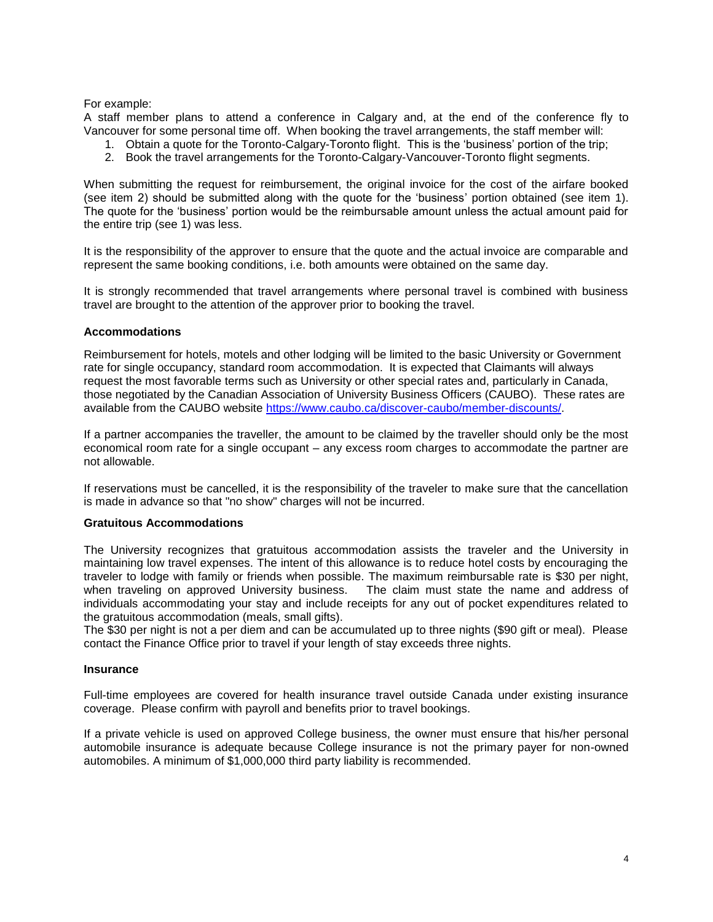For example:

A staff member plans to attend a conference in Calgary and, at the end of the conference fly to Vancouver for some personal time off. When booking the travel arrangements, the staff member will:

- 1. Obtain a quote for the Toronto-Calgary-Toronto flight. This is the 'business' portion of the trip;
- 2. Book the travel arrangements for the Toronto-Calgary-Vancouver-Toronto flight segments.

When submitting the request for reimbursement, the original invoice for the cost of the airfare booked (see item 2) should be submitted along with the quote for the 'business' portion obtained (see item 1). The quote for the 'business' portion would be the reimbursable amount unless the actual amount paid for the entire trip (see 1) was less.

It is the responsibility of the approver to ensure that the quote and the actual invoice are comparable and represent the same booking conditions, i.e. both amounts were obtained on the same day.

It is strongly recommended that travel arrangements where personal travel is combined with business travel are brought to the attention of the approver prior to booking the travel.

#### **Accommodations**

Reimbursement for hotels, motels and other lodging will be limited to the basic University or Government rate for single occupancy, standard room accommodation. It is expected that Claimants will always request the most favorable terms such as University or other special rates and, particularly in Canada, those negotiated by the Canadian Association of University Business Officers (CAUBO). These rates are available from the CAUBO website [https://www.caubo.ca/discover-caubo/member-discounts/.](https://www.caubo.ca/discover-caubo/member-discounts/)

If a partner accompanies the traveller, the amount to be claimed by the traveller should only be the most economical room rate for a single occupant – any excess room charges to accommodate the partner are not allowable.

If reservations must be cancelled, it is the responsibility of the traveler to make sure that the cancellation is made in advance so that "no show" charges will not be incurred.

#### **Gratuitous Accommodations**

The University recognizes that gratuitous accommodation assists the traveler and the University in maintaining low travel expenses. The intent of this allowance is to reduce hotel costs by encouraging the traveler to lodge with family or friends when possible. The maximum reimbursable rate is \$30 per night, when traveling on approved University business. The claim must state the name and address of individuals accommodating your stay and include receipts for any out of pocket expenditures related to the gratuitous accommodation (meals, small gifts).

The \$30 per night is not a per diem and can be accumulated up to three nights (\$90 gift or meal). Please contact the Finance Office prior to travel if your length of stay exceeds three nights.

#### **Insurance**

Full-time employees are covered for health insurance travel outside Canada under existing insurance coverage. Please confirm with payroll and benefits prior to travel bookings.

If a private vehicle is used on approved College business, the owner must ensure that his/her personal automobile insurance is adequate because College insurance is not the primary payer for non-owned automobiles. A minimum of \$1,000,000 third party liability is recommended.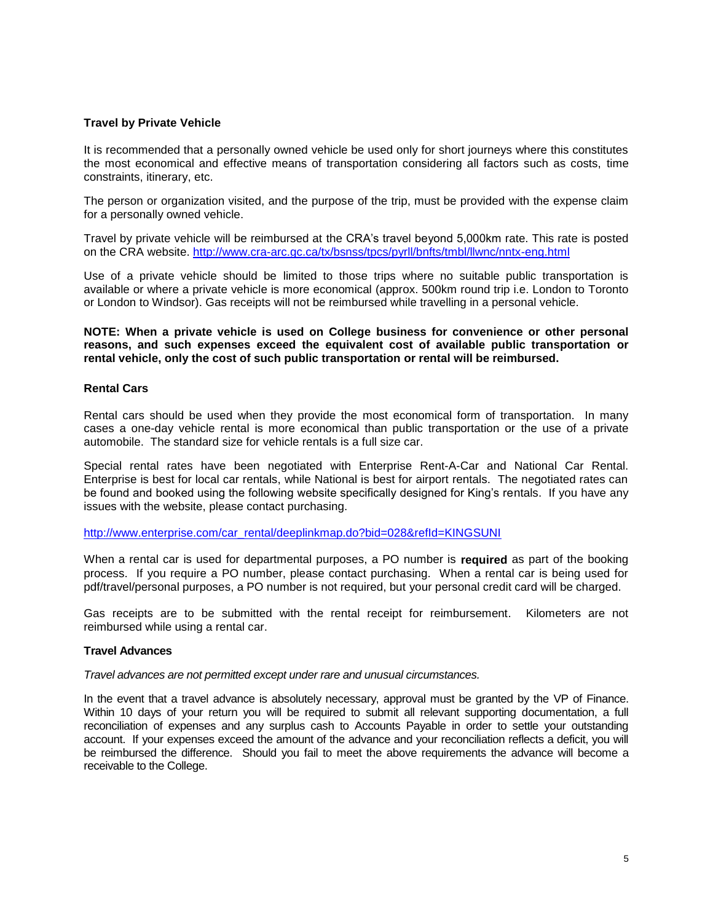#### **Travel by Private Vehicle**

It is recommended that a personally owned vehicle be used only for short journeys where this constitutes the most economical and effective means of transportation considering all factors such as costs, time constraints, itinerary, etc.

The person or organization visited, and the purpose of the trip, must be provided with the expense claim for a personally owned vehicle.

Travel by private vehicle will be reimbursed at the CRA's travel beyond 5,000km rate. This rate is posted on the CRA website. <http://www.cra-arc.gc.ca/tx/bsnss/tpcs/pyrll/bnfts/tmbl/llwnc/nntx-eng.html>

Use of a private vehicle should be limited to those trips where no suitable public transportation is available or where a private vehicle is more economical (approx. 500km round trip i.e. London to Toronto or London to Windsor). Gas receipts will not be reimbursed while travelling in a personal vehicle.

**NOTE: When a private vehicle is used on College business for convenience or other personal reasons, and such expenses exceed the equivalent cost of available public transportation or rental vehicle, only the cost of such public transportation or rental will be reimbursed.**

#### **Rental Cars**

Rental cars should be used when they provide the most economical form of transportation. In many cases a one-day vehicle rental is more economical than public transportation or the use of a private automobile. The standard size for vehicle rentals is a full size car.

Special rental rates have been negotiated with Enterprise Rent-A-Car and National Car Rental. Enterprise is best for local car rentals, while National is best for airport rentals. The negotiated rates can be found and booked using the following website specifically designed for King's rentals. If you have any issues with the website, please contact purchasing.

[http://www.enterprise.com/car\\_rental/deeplinkmap.do?bid=028&refId=KINGSUNI](http://www.enterprise.com/car_rental/deeplinkmap.do?bid=028&refId=KINGSUNI)

When a rental car is used for departmental purposes, a PO number is **required** as part of the booking process. If you require a PO number, please contact purchasing. When a rental car is being used for pdf/travel/personal purposes, a PO number is not required, but your personal credit card will be charged.

Gas receipts are to be submitted with the rental receipt for reimbursement. Kilometers are not reimbursed while using a rental car.

#### **Travel Advances**

*Travel advances are not permitted except under rare and unusual circumstances.*

In the event that a travel advance is absolutely necessary, approval must be granted by the VP of Finance. Within 10 days of your return you will be required to submit all relevant supporting documentation, a full reconciliation of expenses and any surplus cash to Accounts Payable in order to settle your outstanding account. If your expenses exceed the amount of the advance and your reconciliation reflects a deficit, you will be reimbursed the difference. Should you fail to meet the above requirements the advance will become a receivable to the College.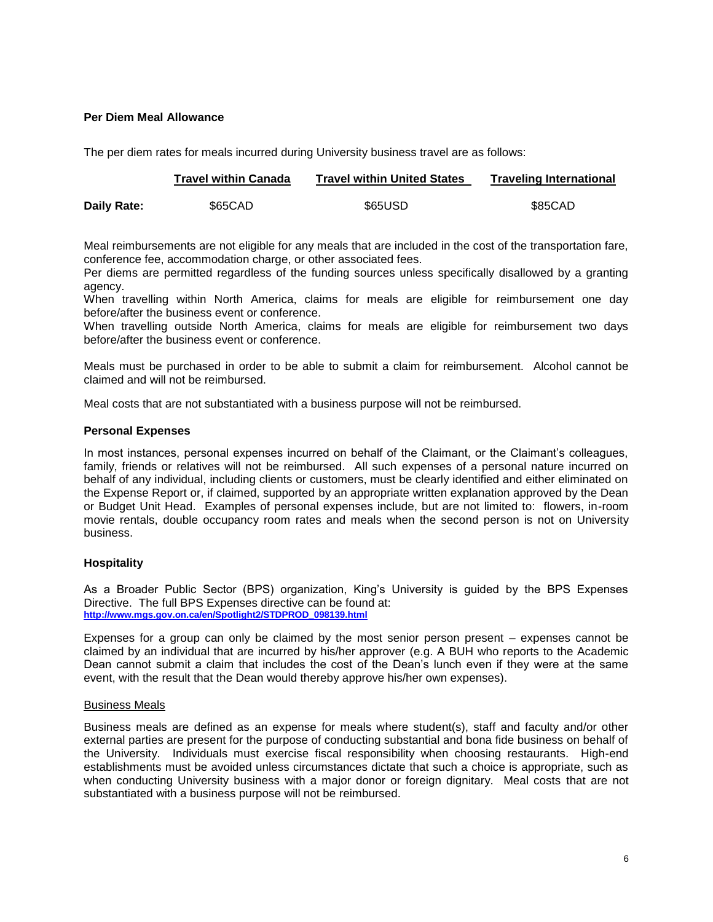### **Per Diem Meal Allowance**

The per diem rates for meals incurred during University business travel are as follows:

|             | Travel within Canada | <b>Travel within United States</b> | <b>Traveling International</b> |
|-------------|----------------------|------------------------------------|--------------------------------|
| Daily Rate: | \$65CAD              | \$65USD                            | \$85CAD                        |

Meal reimbursements are not eligible for any meals that are included in the cost of the transportation fare, conference fee, accommodation charge, or other associated fees.

Per diems are permitted regardless of the funding sources unless specifically disallowed by a granting agency.

When travelling within North America, claims for meals are eligible for reimbursement one day before/after the business event or conference.

When travelling outside North America, claims for meals are eligible for reimbursement two days before/after the business event or conference.

Meals must be purchased in order to be able to submit a claim for reimbursement. Alcohol cannot be claimed and will not be reimbursed.

Meal costs that are not substantiated with a business purpose will not be reimbursed.

# **Personal Expenses**

In most instances, personal expenses incurred on behalf of the Claimant, or the Claimant's colleagues, family, friends or relatives will not be reimbursed. All such expenses of a personal nature incurred on behalf of any individual, including clients or customers, must be clearly identified and either eliminated on the Expense Report or, if claimed, supported by an appropriate written explanation approved by the Dean or Budget Unit Head. Examples of personal expenses include, but are not limited to: flowers, in-room movie rentals, double occupancy room rates and meals when the second person is not on University business.

# **Hospitality**

As a Broader Public Sector (BPS) organization, King's University is guided by the BPS Expenses Directive. The full BPS Expenses directive can be found at: **[http://www.mgs.gov.on.ca/en/Spotlight2/STDPROD\\_098139.html](http://www.mgs.gov.on.ca/en/Spotlight2/STDPROD_098139.html)**

Expenses for a group can only be claimed by the most senior person present – expenses cannot be claimed by an individual that are incurred by his/her approver (e.g. A BUH who reports to the Academic Dean cannot submit a claim that includes the cost of the Dean's lunch even if they were at the same event, with the result that the Dean would thereby approve his/her own expenses).

### Business Meals

Business meals are defined as an expense for meals where student(s), staff and faculty and/or other external parties are present for the purpose of conducting substantial and bona fide business on behalf of the University. Individuals must exercise fiscal responsibility when choosing restaurants. High-end establishments must be avoided unless circumstances dictate that such a choice is appropriate, such as when conducting University business with a major donor or foreign dignitary. Meal costs that are not substantiated with a business purpose will not be reimbursed.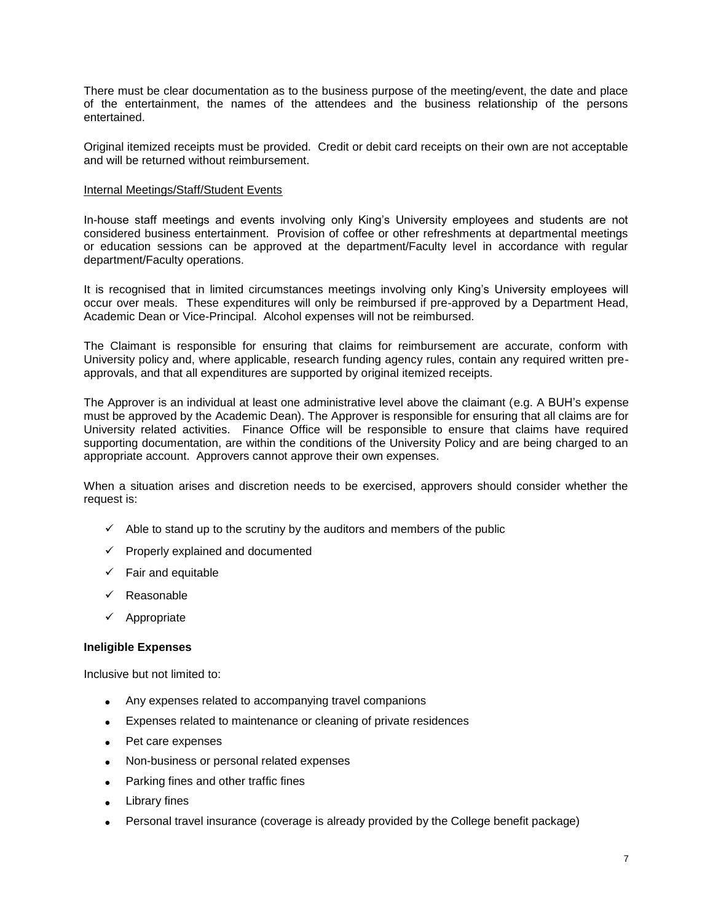There must be clear documentation as to the business purpose of the meeting/event, the date and place of the entertainment, the names of the attendees and the business relationship of the persons entertained.

Original itemized receipts must be provided. Credit or debit card receipts on their own are not acceptable and will be returned without reimbursement.

### Internal Meetings/Staff/Student Events

In-house staff meetings and events involving only King's University employees and students are not considered business entertainment. Provision of coffee or other refreshments at departmental meetings or education sessions can be approved at the department/Faculty level in accordance with regular department/Faculty operations.

It is recognised that in limited circumstances meetings involving only King's University employees will occur over meals. These expenditures will only be reimbursed if pre-approved by a Department Head, Academic Dean or Vice-Principal. Alcohol expenses will not be reimbursed.

The Claimant is responsible for ensuring that claims for reimbursement are accurate, conform with University policy and, where applicable, research funding agency rules, contain any required written preapprovals, and that all expenditures are supported by original itemized receipts.

The Approver is an individual at least one administrative level above the claimant (e.g. A BUH's expense must be approved by the Academic Dean). The Approver is responsible for ensuring that all claims are for University related activities. Finance Office will be responsible to ensure that claims have required supporting documentation, are within the conditions of the University Policy and are being charged to an appropriate account. Approvers cannot approve their own expenses.

When a situation arises and discretion needs to be exercised, approvers should consider whether the request is:

- $\checkmark$  Able to stand up to the scrutiny by the auditors and members of the public
- $\checkmark$  Properly explained and documented
- $\checkmark$  Fair and equitable
- $\checkmark$  Reasonable
- $\checkmark$  Appropriate

### **Ineligible Expenses**

Inclusive but not limited to:

- Any expenses related to accompanying travel companions
- Expenses related to maintenance or cleaning of private residences
- Pet care expenses
- Non-business or personal related expenses
- Parking fines and other traffic fines
- Library fines
- Personal travel insurance (coverage is already provided by the College benefit package)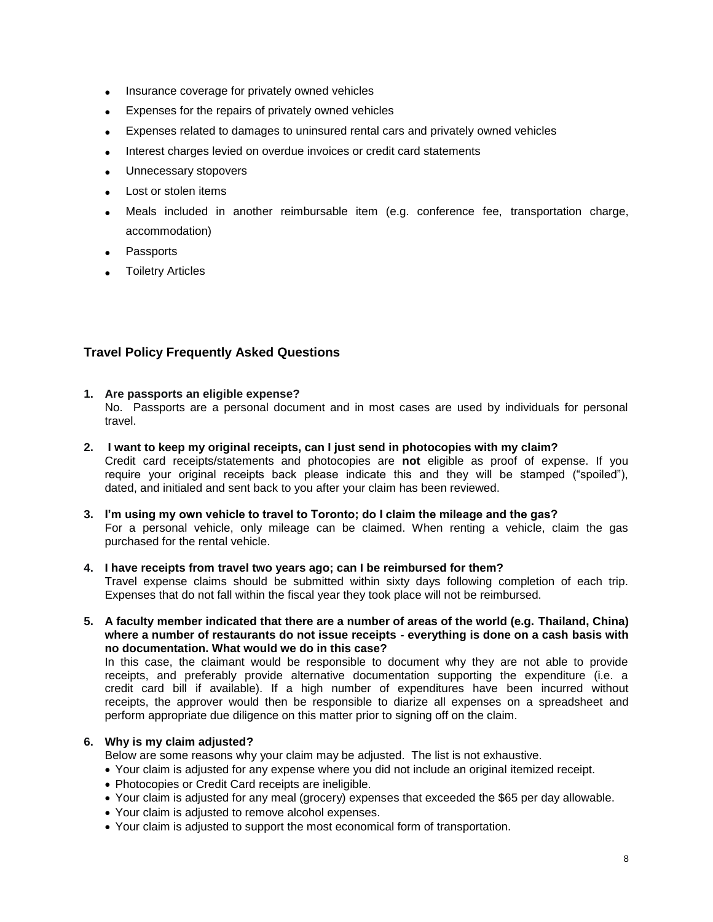- Insurance coverage for privately owned vehicles
- Expenses for the repairs of privately owned vehicles
- Expenses related to damages to uninsured rental cars and privately owned vehicles
- Interest charges levied on overdue invoices or credit card statements
- Unnecessary stopovers
- Lost or stolen items
- Meals included in another reimbursable item (e.g. conference fee, transportation charge, accommodation)
- Passports
- Toiletry Articles

# **Travel Policy Frequently Asked Questions**

### **1. Are passports an eligible expense?**

No. Passports are a personal document and in most cases are used by individuals for personal travel.

- **2. I want to keep my original receipts, can I just send in photocopies with my claim?** Credit card receipts/statements and photocopies are **not** eligible as proof of expense. If you require your original receipts back please indicate this and they will be stamped ("spoiled"), dated, and initialed and sent back to you after your claim has been reviewed.
- **3. I'm using my own vehicle to travel to Toronto; do I claim the mileage and the gas?** For a personal vehicle, only mileage can be claimed. When renting a vehicle, claim the gas purchased for the rental vehicle.

#### **4. I have receipts from travel two years ago; can I be reimbursed for them?** Travel expense claims should be submitted within sixty days following completion of each trip. Expenses that do not fall within the fiscal year they took place will not be reimbursed.

**5. A faculty member indicated that there are a number of areas of the world (e.g. Thailand, China) where a number of restaurants do not issue receipts - everything is done on a cash basis with no documentation. What would we do in this case?**

In this case, the claimant would be responsible to document why they are not able to provide receipts, and preferably provide alternative documentation supporting the expenditure (i.e. a credit card bill if available). If a high number of expenditures have been incurred without receipts, the approver would then be responsible to diarize all expenses on a spreadsheet and perform appropriate due diligence on this matter prior to signing off on the claim.

# **6. Why is my claim adjusted?**

Below are some reasons why your claim may be adjusted. The list is not exhaustive.

- Your claim is adjusted for any expense where you did not include an original itemized receipt.
- Photocopies or Credit Card receipts are ineligible.
- Your claim is adjusted for any meal (grocery) expenses that exceeded the \$65 per day allowable.
- Your claim is adjusted to remove alcohol expenses.
- Your claim is adjusted to support the most economical form of transportation.